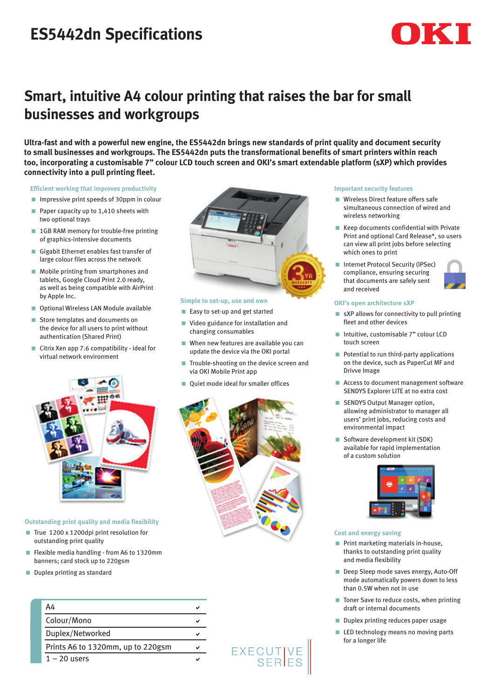# **ES5442dn Specifications**



# **Smart, intuitive A4 colour printing that raises the bar for small businesses and workgroups**

**Ultra-fast and with a powerful new engine, the ES5442dn brings new standards of print quality and document security to small businesses and workgroups. The ES5442dn puts the transformational benefits of smart printers within reach too, incorporating a customisable 7" colour LCD touch screen and OKI's smart extendable platform (sXP) which provides connectivity into a pull printing fleet.** 

**Efficient working that improves productivity**

- **ID Impressive print speeds of 30ppm in colour**
- Paper capacity up to  $1,410$  sheets with two optional trays
- 1GB RAM memory for trouble-free printing of graphics-intensive documents
- Gigabit Ethernet enables fast transfer of large colour files across the network
- **Mobile printing from smartphones and** tablets, Google Cloud Print 2.0 ready, as well as being compatible with AirPrint by Apple Inc.
- **Deptional Wireless LAN Module available**
- Store templates and documents on the device for all users to print without authentication (Shared Print)
- Citrix Xen app 7.6 compatibility ideal for virtual network environment



#### **Outstanding print quality and media flexibility**

- True 1200 x 1200dpi print resolution for outstanding print quality
- Flexible media handling from A6 to 1320mm banners; card stock up to 220gsm
- Duplex printing as standard





## **Simple to set-up, use and own**

- Easy to set-up and get started
- < Video guidance for installation and changing consumables
- $\blacksquare$  When new features are available you can update the device via the OKI portal
- < Trouble-shooting on the device screen and via OKI Mobile Print app
- < Quiet mode ideal for smaller offices



EXECUTIVE<br>SERIES

### **Important security features**

- Wireless Direct feature offers safe simultaneous connection of wired and wireless networking
- Keep documents confidential with Private Print and optional Card Release\*, so users can view all print jobs before selecting which ones to print
- Internet Protocol Security (IPSec) compliance, ensuring securing that documents are safely sent and received

#### **OKI's open architecture sXP**

- $\blacksquare$  sXP allows for connectivity to pull printing fleet and other devices
- **Intuitive** customisable 7" colour LCD touch screen
- Potential to run third-party applications on the device, such as PaperCut MF and Drivve Image
- Access to document management software SENDYS Explorer LITE at no extra cost
- **SENDYS Output Manager option,** allowing administrator to manager all users' print jobs, reducing costs and environmental impact
- Software development kit (SDK) available for rapid implementation of a custom solution



#### **Cost and energy saving**

- Print marketing materials in-house, thanks to outstanding print quality and media flexibility
- Deep Sleep mode saves energy, Auto-Off mode automatically powers down to less than 0.5W when not in use
- Toner Save to reduce costs, when printing draft or internal documents
- Duplex printing reduces paper usage
- **LED** technology means no moving parts for a longer life